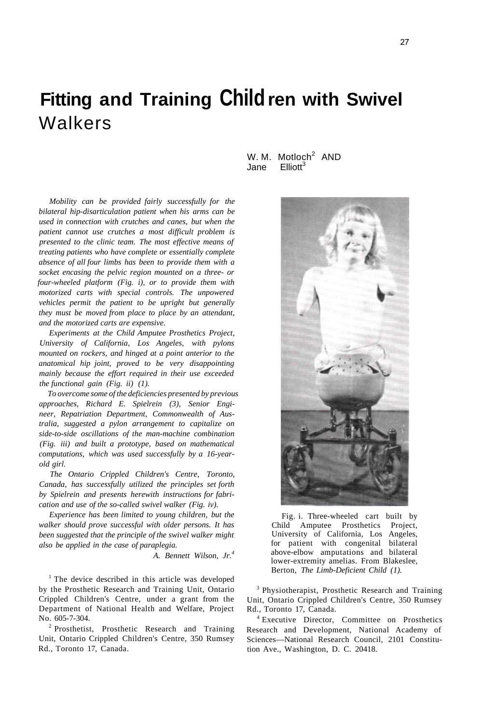# **Fitting and Training Child ren with Swivel**  Walkers

*Mobility can be provided fairly successfully for the bilateral hip-disarticulation patient when his arms can be used in connection with crutches and canes, but when the patient cannot use crutches a most difficult problem is presented to the clinic team. The most effective means of treating patients who have complete or essentially complete absence of all four limbs has been to provide them with a socket encasing the pelvic region mounted on a three- or four-wheeled platform (Fig. i), or to provide them with motorized carts with special controls. The unpowered vehicles permit the patient to be upright but generally they must be moved from place to place by an attendant, and the motorized carts are expensive.* 

*Experiments at the Child Amputee Prosthetics Project, University of California, Los Angeles, with pylons mounted on rockers, and hinged at a point anterior to the anatomical hip joint, proved to be very disappointing mainly because the effort required in their use exceeded the functional gain (Fig. ii) (1).* 

*To overcome some of the deficiencies presented by previous approaches, Richard E. Spielrein (3), Senior Engineer, Repatriation Department, Commonwealth of Australia, suggested a pylon arrangement to capitalize on side-to-side oscillations of the man-machine combination (Fig. iii) and built a prototype, based on mathematical computations, which was used successfully by a 16-yearold girl.* 

*The Ontario Crippled Children's Centre, Toronto, Canada, has successfully utilized the principles set forth by Spielrein and presents herewith instructions for fabrication and use of the so-called swivel walker (Fig. iv).* 

*Experience has been limited to young children, but the walker should prove successful with older persons. It has been suggested that the principle of the swivel walker might also be applied in the case of paraplegia.* 

*A. Bennett Wilson, Jr.<sup>4</sup>*

<sup>1</sup> The device described in this article was developed by the Prosthetic Research and Training Unit, Ontario Crippled Children's Centre, under a grant from the Department of National Health and Welfare, Project No. 605-7-304.

<sup>2</sup> Prosthetist, Prosthetic Research and Training Unit, Ontario Crippled Children's Centre, 350 Rumsey Rd., Toronto 17, Canada.

W. M.  $\text{Motion}^2$  AND Jane  $\text{Fllioft}^3$ 



Fig. i. Three-wheeled cart built by Child Amputee Prosthetics Project, University of California, Los Angeles, for patient with congenital bilateral above-elbow amputations and bilateral lower-extremity amelias. From Blakeslee, Berton, *The Limb-Deficient Child (1).* 

<sup>3</sup> Physiotherapist, Prosthetic Research and Training Unit, Ontario Crippled Children's Centre, 350 Rumsey Rd., Toronto 17, Canada.

4 Executive Director, Committee on Prosthetics Research and Development, National Academy of Sciences—National Research Council, 2101 Constitution Ave., Washington, D. C. 20418.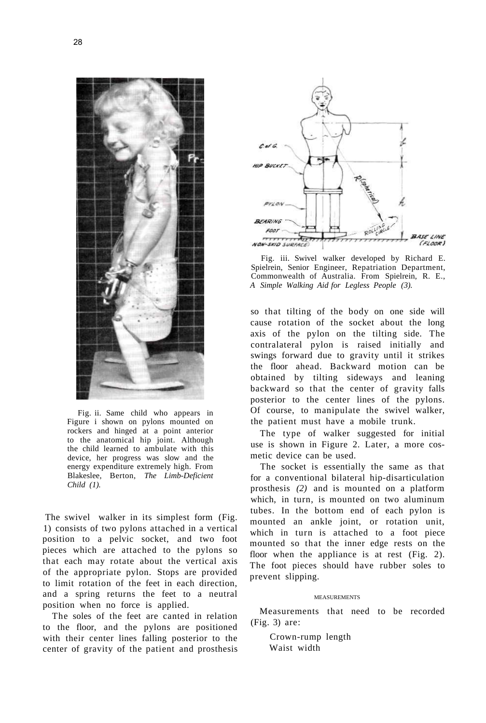

Fig. ii. Same child who appears in Figure i shown on pylons mounted on rockers and hinged at a point anterior to the anatomical hip joint. Although the child learned to ambulate with this device, her progress was slow and the energy expenditure extremely high. From Blakeslee, Berton, *The Limb-Deficient Child (1).* 

The swivel walker in its simplest form (Fig. 1) consists of two pylons attached in a vertical position to a pelvic socket, and two foot pieces which are attached to the pylons so that each may rotate about the vertical axis of the appropriate pylon. Stops are provided to limit rotation of the feet in each direction, and a spring returns the feet to a neutral position when no force is applied.

The soles of the feet are canted in relation to the floor, and the pylons are positioned with their center lines falling posterior to the center of gravity of the patient and prosthesis



Fig. iii. Swivel walker developed by Richard E. Spielrein, Senior Engineer, Repatriation Department, Commonwealth of Australia. From Spielrein, R. E., *A Simple Walking Aid for Legless People (3).* 

so that tilting of the body on one side will cause rotation of the socket about the long axis of the pylon on the tilting side. The contralateral pylon is raised initially and swings forward due to gravity until it strikes the floor ahead. Backward motion can be obtained by tilting sideways and leaning backward so that the center of gravity falls posterior to the center lines of the pylons. Of course, to manipulate the swivel walker, the patient must have a mobile trunk.

The type of walker suggested for initial use is shown in Figure 2. Later, a more cosmetic device can be used.

The socket is essentially the same as that for a conventional bilateral hip-disarticulation prosthesis *(2)* and is mounted on a platform which, in turn, is mounted on two aluminum tubes. In the bottom end of each pylon is mounted an ankle joint, or rotation unit, which in turn is attached to a foot piece mounted so that the inner edge rests on the floor when the appliance is at rest (Fig. 2). The foot pieces should have rubber soles to prevent slipping.

#### MEASUREMENTS

Measurements that need to be recorded (Fig. 3) are:

Crown-rump length Waist width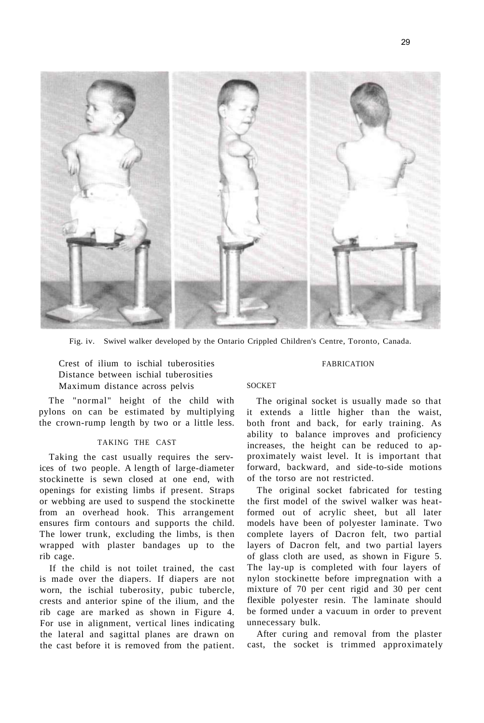

Fig. iv. Swivel walker developed by the Ontario Crippled Children's Centre, Toronto, Canada.

Crest of ilium to ischial tuberosities Distance between ischial tuberosities Maximum distance across pelvis

The "normal" height of the child with pylons on can be estimated by multiplying the crown-rump length by two or a little less.

#### TAKING THE CAST

Taking the cast usually requires the services of two people. A length of large-diameter stockinette is sewn closed at one end, with openings for existing limbs if present. Straps or webbing are used to suspend the stockinette from an overhead hook. This arrangement ensures firm contours and supports the child. The lower trunk, excluding the limbs, is then wrapped with plaster bandages up to the rib cage.

If the child is not toilet trained, the cast is made over the diapers. If diapers are not worn, the ischial tuberosity, pubic tubercle, crests and anterior spine of the ilium, and the rib cage are marked as shown in Figure 4. For use in alignment, vertical lines indicating the lateral and sagittal planes are drawn on the cast before it is removed from the patient.

#### FABRICATION

#### SOCKET

The original socket is usually made so that it extends a little higher than the waist, both front and back, for early training. As ability to balance improves and proficiency increases, the height can be reduced to approximately waist level. It is important that forward, backward, and side-to-side motions of the torso are not restricted.

The original socket fabricated for testing the first model of the swivel walker was heatformed out of acrylic sheet, but all later models have been of polyester laminate. Two complete layers of Dacron felt, two partial layers of Dacron felt, and two partial layers of glass cloth are used, as shown in Figure 5. The lay-up is completed with four layers of nylon stockinette before impregnation with a mixture of 70 per cent rigid and 30 per cent flexible polyester resin. The laminate should be formed under a vacuum in order to prevent unnecessary bulk.

After curing and removal from the plaster cast, the socket is trimmed approximately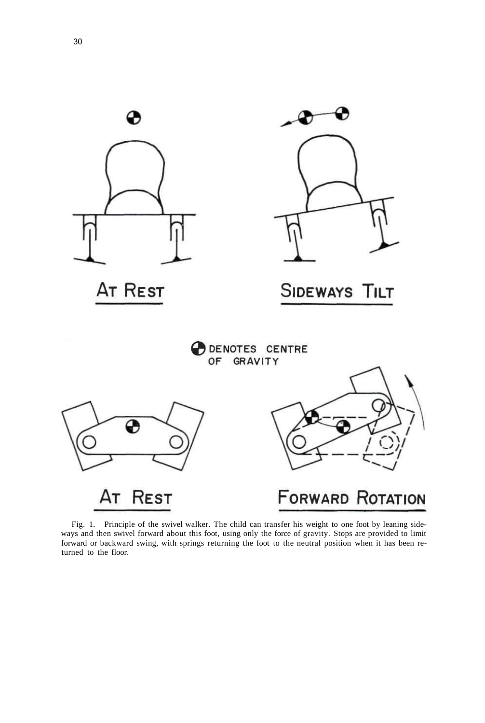

Fig. 1. Principle of the swivel walker. The child can transfer his weight to one foot by leaning sideways and then swivel forward about this foot, using only the force of gravity. Stops are provided to limit forward or backward swing, with springs returning the foot to the neutral position when it has been returned to the floor.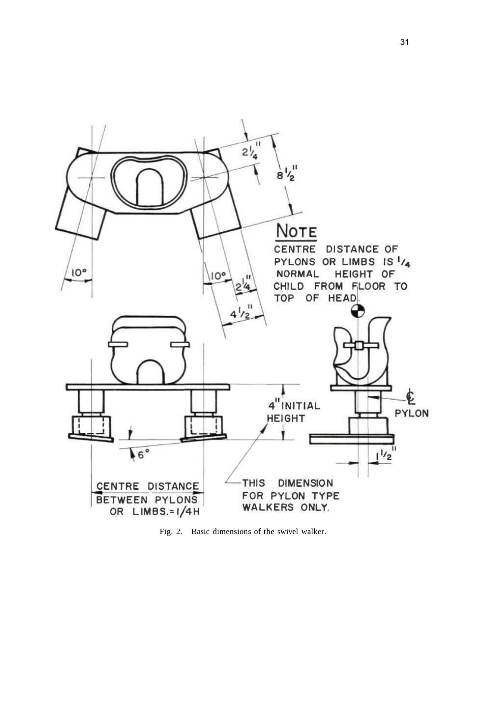

Fig. 2. Basic dimensions of the swivel walker.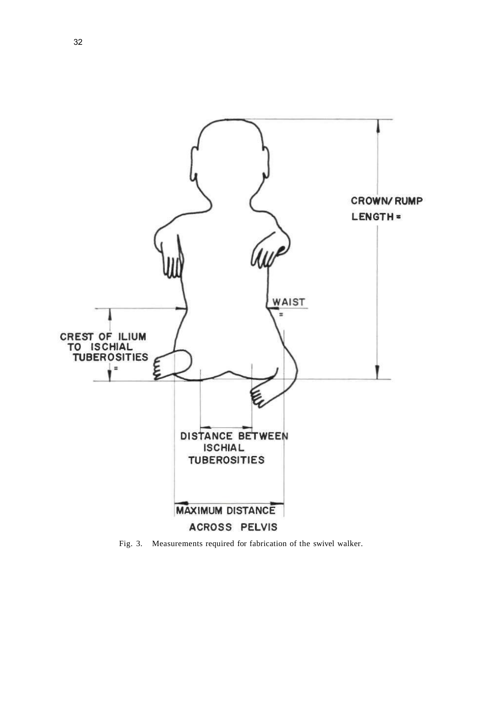

Fig. 3. Measurements required for fabrication of the swivel walker.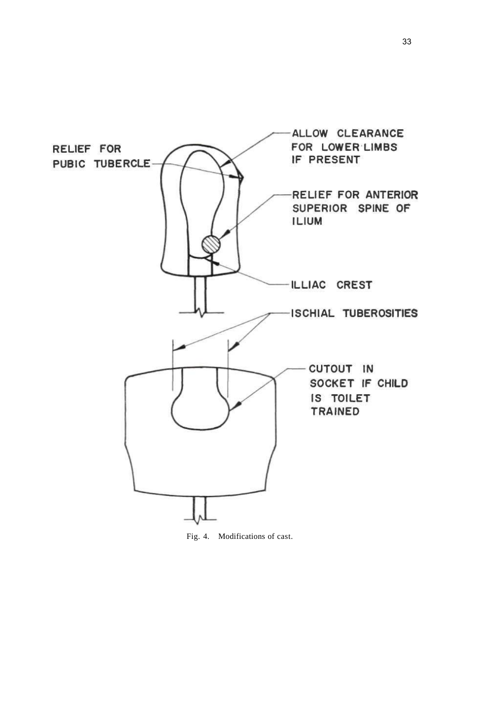

Fig. 4. Modifications of cast.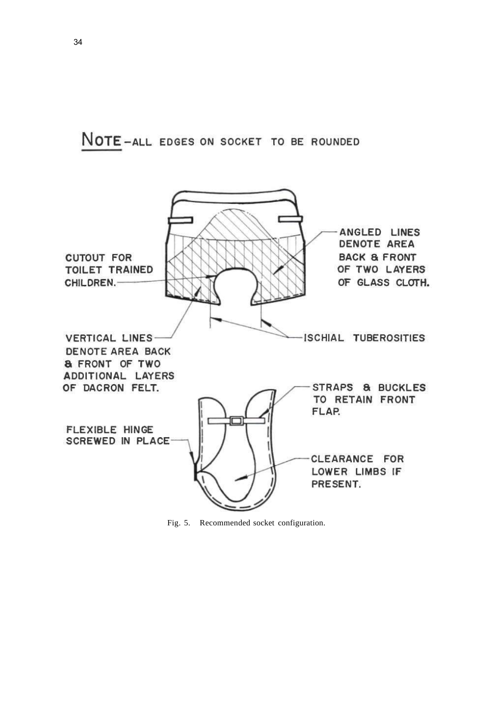NOTE-ALL EDGES ON SOCKET TO BE ROUNDED



Fig. 5. Recommended socket configuration.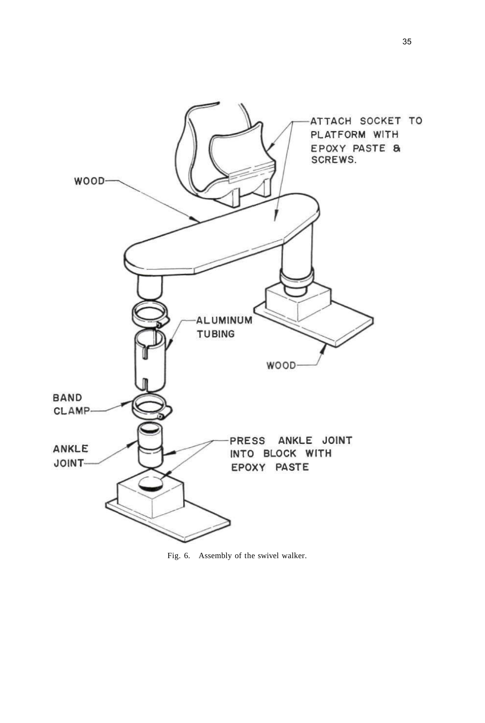

Fig. 6. Assembly of the swivel walker.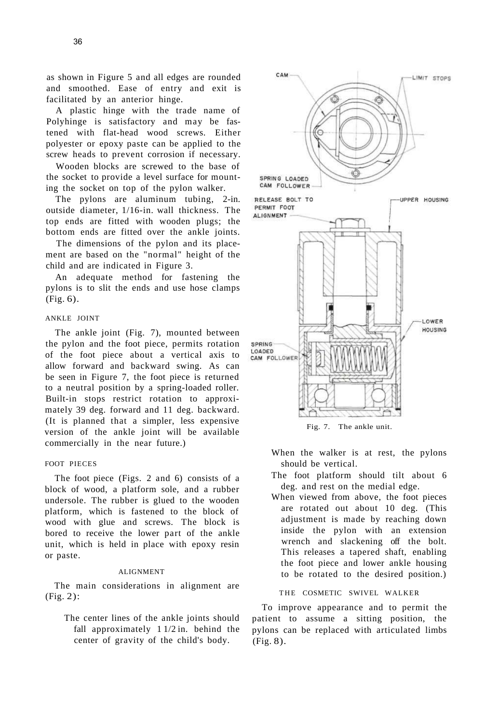as shown in Figure 5 and all edges are rounded and smoothed. Ease of entry and exit is facilitated by an anterior hinge.

A plastic hinge with the trade name of Polyhinge is satisfactory and may be fastened with flat-head wood screws. Either polyester or epoxy paste can be applied to the screw heads to prevent corrosion if necessary.

Wooden blocks are screwed to the base of the socket to provide a level surface for mounting the socket on top of the pylon walker.

The pylons are aluminum tubing, 2-in. outside diameter, 1/16-in. wall thickness. The top ends are fitted with wooden plugs; the bottom ends are fitted over the ankle joints.

The dimensions of the pylon and its placement are based on the "normal" height of the child and are indicated in Figure 3.

An adequate method for fastening the pylons is to slit the ends and use hose clamps (Fig. 6).

### ANKLE JOINT

The ankle joint (Fig. 7), mounted between the pylon and the foot piece, permits rotation of the foot piece about a vertical axis to allow forward and backward swing. As can be seen in Figure 7, the foot piece is returned to a neutral position by a spring-loaded roller. Built-in stops restrict rotation to approximately 39 deg. forward and 11 deg. backward. (It is planned that a simpler, less expensive version of the ankle joint will be available commercially in the near future.)

#### FOOT PIECES

The foot piece (Figs. 2 and 6) consists of a block of wood, a platform sole, and a rubber undersole. The rubber is glued to the wooden platform, which is fastened to the block of wood with glue and screws. The block is bored to receive the lower part of the ankle unit, which is held in place with epoxy resin or paste.

### ALIGNMENT

The main considerations in alignment are (Fig. 2):

The center lines of the ankle joints should fall approximately 1 1/2 in. behind the center of gravity of the child's body.



- When the walker is at rest, the pylons should be vertical.
- The foot platform should tilt about 6 deg. and rest on the medial edge.
- When viewed from above, the foot pieces are rotated out about 10 deg. (This adjustment is made by reaching down inside the pylon with an extension wrench and slackening off the bolt. This releases a tapered shaft, enabling the foot piece and lower ankle housing to be rotated to the desired position.)

## THE COSMETIC SWIVEL WALKER

To improve appearance and to permit the patient to assume a sitting position, the pylons can be replaced with articulated limbs (Fig. 8).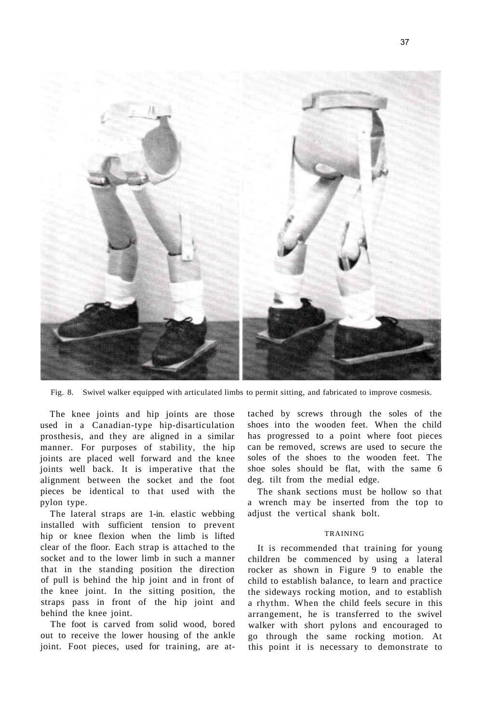

Fig. 8. Swivel walker equipped with articulated limbs to permit sitting, and fabricated to improve cosmesis.

The knee joints and hip joints are those used in a Canadian-type hip-disarticulation prosthesis, and they are aligned in a similar manner. For purposes of stability, the hip joints are placed well forward and the knee joints well back. It is imperative that the alignment between the socket and the foot pieces be identical to that used with the pylon type.

The lateral straps are 1-in. elastic webbing installed with sufficient tension to prevent hip or knee flexion when the limb is lifted clear of the floor. Each strap is attached to the socket and to the lower limb in such a manner that in the standing position the direction of pull is behind the hip joint and in front of the knee joint. In the sitting position, the straps pass in front of the hip joint and behind the knee joint.

The foot is carved from solid wood, bored out to receive the lower housing of the ankle joint. Foot pieces, used for training, are attached by screws through the soles of the shoes into the wooden feet. When the child has progressed to a point where foot pieces can be removed, screws are used to secure the soles of the shoes to the wooden feet. The shoe soles should be flat, with the same 6 deg. tilt from the medial edge.

The shank sections must be hollow so that a wrench may be inserted from the top to adjust the vertical shank bolt.

#### TRAINING

It is recommended that training for young children be commenced by using a lateral rocker as shown in Figure 9 to enable the child to establish balance, to learn and practice the sideways rocking motion, and to establish a rhythm. When the child feels secure in this arrangement, he is transferred to the swivel walker with short pylons and encouraged to go through the same rocking motion. At this point it is necessary to demonstrate to